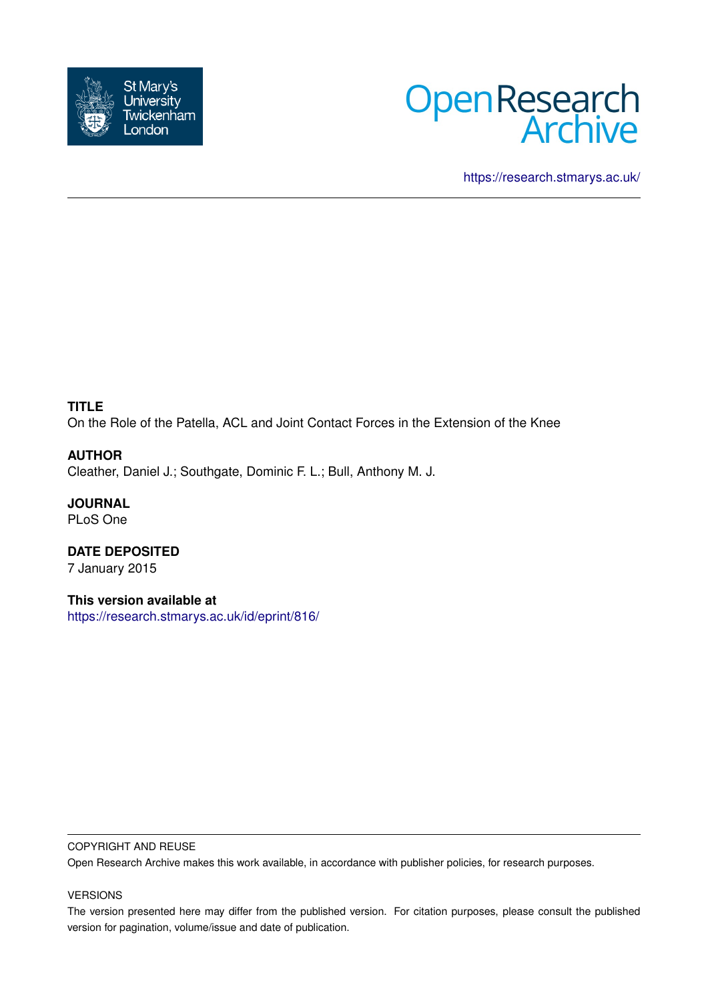



<https://research.stmarys.ac.uk/>

## **TITLE**

On the Role of the Patella, ACL and Joint Contact Forces in the Extension of the Knee

#### **AUTHOR**

Cleather, Daniel J.; Southgate, Dominic F. L.; Bull, Anthony M. J.

**JOURNAL** PLoS One

**DATE DEPOSITED** 7 January 2015

**This version available at** <https://research.stmarys.ac.uk/id/eprint/816/>

#### COPYRIGHT AND REUSE

Open Research Archive makes this work available, in accordance with publisher policies, for research purposes.

#### VERSIONS

The version presented here may differ from the published version. For citation purposes, please consult the published version for pagination, volume/issue and date of publication.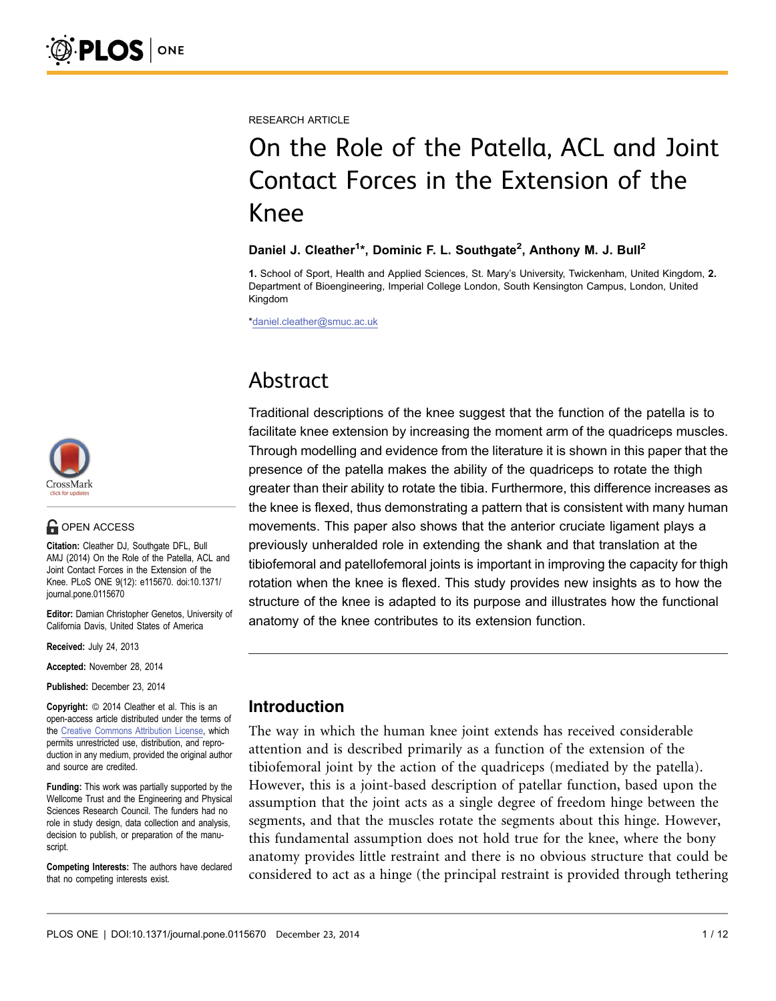RESEARCH ARTICLE

# On the Role of the Patella, ACL and Joint Contact Forces in the Extension of the Knee

#### Daniel J. Cleather<sup>1\*</sup>, Dominic F. L. Southgate<sup>2</sup>, Anthony M. J. Bull<sup>2</sup>

1. School of Sport, Health and Applied Sciences, St. Mary's University, Twickenham, United Kingdom, 2. Department of Bioengineering, Imperial College London, South Kensington Campus, London, United Kingdom

\*daniel.cleather@smuc.ac.uk

## Abstract

Traditional descriptions of the knee suggest that the function of the patella is to facilitate knee extension by increasing the moment arm of the quadriceps muscles. Through modelling and evidence from the literature it is shown in this paper that the presence of the patella makes the ability of the quadriceps to rotate the thigh greater than their ability to rotate the tibia. Furthermore, this difference increases as the knee is flexed, thus demonstrating a pattern that is consistent with many human movements. This paper also shows that the anterior cruciate ligament plays a previously unheralded role in extending the shank and that translation at the tibiofemoral and patellofemoral joints is important in improving the capacity for thigh rotation when the knee is flexed. This study provides new insights as to how the structure of the knee is adapted to its purpose and illustrates how the functional anatomy of the knee contributes to its extension function.



## **G** OPEN ACCESS

Citation: Cleather DJ, Southgate DFL, Bull AMJ (2014) On the Role of the Patella, ACL and Joint Contact Forces in the Extension of the Knee. PLoS ONE 9(12): e115670. doi:10.1371/ journal.pone.0115670

Editor: Damian Christopher Genetos, University of California Davis, United States of America

Received: July 24, 2013

Accepted: November 28, 2014

Published: December 23, 2014

**Copyright:** © 2014 Cleather et al. This is an open-access article distributed under the terms of the [Creative Commons Attribution License](http://creativecommons.org/licenses/by/4.0/), which permits unrestricted use, distribution, and reproduction in any medium, provided the original author and source are credited.

Funding: This work was partially supported by the Wellcome Trust and the Engineering and Physical Sciences Research Council. The funders had no role in study design, data collection and analysis, decision to publish, or preparation of the manuscript.

Competing Interests: The authors have declared that no competing interests exist.

## Introduction

The way in which the human knee joint extends has received considerable attention and is described primarily as a function of the extension of the tibiofemoral joint by the action of the quadriceps (mediated by the patella). However, this is a joint-based description of patellar function, based upon the assumption that the joint acts as a single degree of freedom hinge between the segments, and that the muscles rotate the segments about this hinge. However, this fundamental assumption does not hold true for the knee, where the bony anatomy provides little restraint and there is no obvious structure that could be considered to act as a hinge (the principal restraint is provided through tethering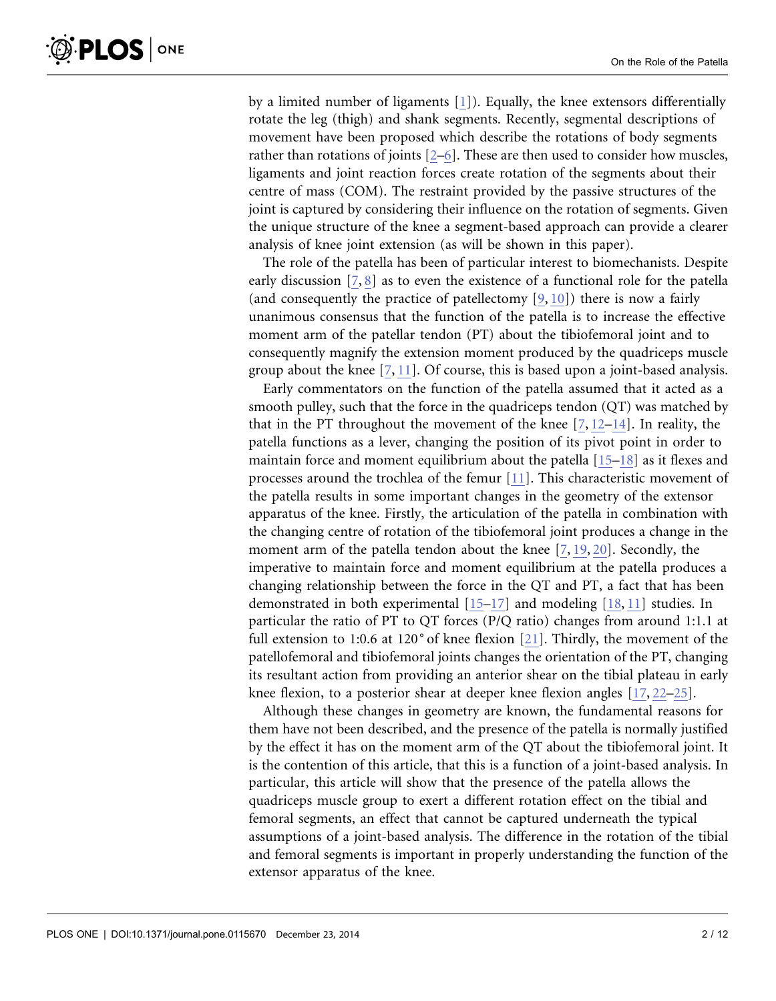by a limited number of ligaments [\[1\]\)](#page-11-0). Equally, the knee extensors differentially rotate the leg (thigh) and shank segments. Recently, segmental descriptions of movement have been proposed which describe the rotations of body segments rather than rotations of joints [\[2–6\].](#page-11-0) These are then used to consider how muscles, ligaments and joint reaction forces create rotation of the segments about their centre of mass (COM). The restraint provided by the passive structures of the joint is captured by considering their influence on the rotation of segments. Given the unique structure of the knee a segment-based approach can provide a clearer analysis of knee joint extension (as will be shown in this paper).

The role of the patella has been of particular interest to biomechanists. Despite early discussion [\[7,](#page-11-0) [8\]](#page-11-0) as to even the existence of a functional role for the patella (and consequently the practice of patellectomy  $[9, 10]$ ) there is now a fairly unanimous consensus that the function of the patella is to increase the effective moment arm of the patellar tendon (PT) about the tibiofemoral joint and to consequently magnify the extension moment produced by the quadriceps muscle group about the knee  $[7, 11]$  $[7, 11]$ . Of course, this is based upon a joint-based analysis.

Early commentators on the function of the patella assumed that it acted as a smooth pulley, such that the force in the quadriceps tendon (QT) was matched by that in the PT throughout the movement of the knee  $[7, 12-14]$ . In reality, the patella functions as a lever, changing the position of its pivot point in order to maintain force and moment equilibrium about the patella  $[15-18]$  as it flexes and processes around the trochlea of the femur [\[11\].](#page-11-0) This characteristic movement of the patella results in some important changes in the geometry of the extensor apparatus of the knee. Firstly, the articulation of the patella in combination with the changing centre of rotation of the tibiofemoral joint produces a change in the moment arm of the patella tendon about the knee [\[7,](#page-11-0) [19,](#page-11-0) [20\]](#page-11-0). Secondly, the imperative to maintain force and moment equilibrium at the patella produces a changing relationship between the force in the QT and PT, a fact that has been demonstrated in both experimental [\[15–17\]](#page-11-0) and modeling [\[18,](#page-11-0) [11\]](#page-11-0) studies. In particular the ratio of PT to QT forces (P/Q ratio) changes from around 1:1.1 at full extension to 1:0.6 at 120˚ of knee flexion [\[21\].](#page-12-0) Thirdly, the movement of the patellofemoral and tibiofemoral joints changes the orientation of the PT, changing its resultant action from providing an anterior shear on the tibial plateau in early knee flexion, to a posterior shear at deeper knee flexion angles [\[17,](#page-11-0) [22–25](#page-12-0)[\]](#page-11-0).

Although these changes in geometry are known, the fundamental reasons for them have not been described, and the presence of the patella is normally justified by the effect it has on the moment arm of the QT about the tibiofemoral joint. It is the contention of this article, that this is a function of a joint-based analysis. In particular, this article will show that the presence of the patella allows the quadriceps muscle group to exert a different rotation effect on the tibial and femoral segments, an effect that cannot be captured underneath the typical assumptions of a joint-based analysis. The difference in the rotation of the tibial and femoral segments is important in properly understanding the function of the extensor apparatus of the knee.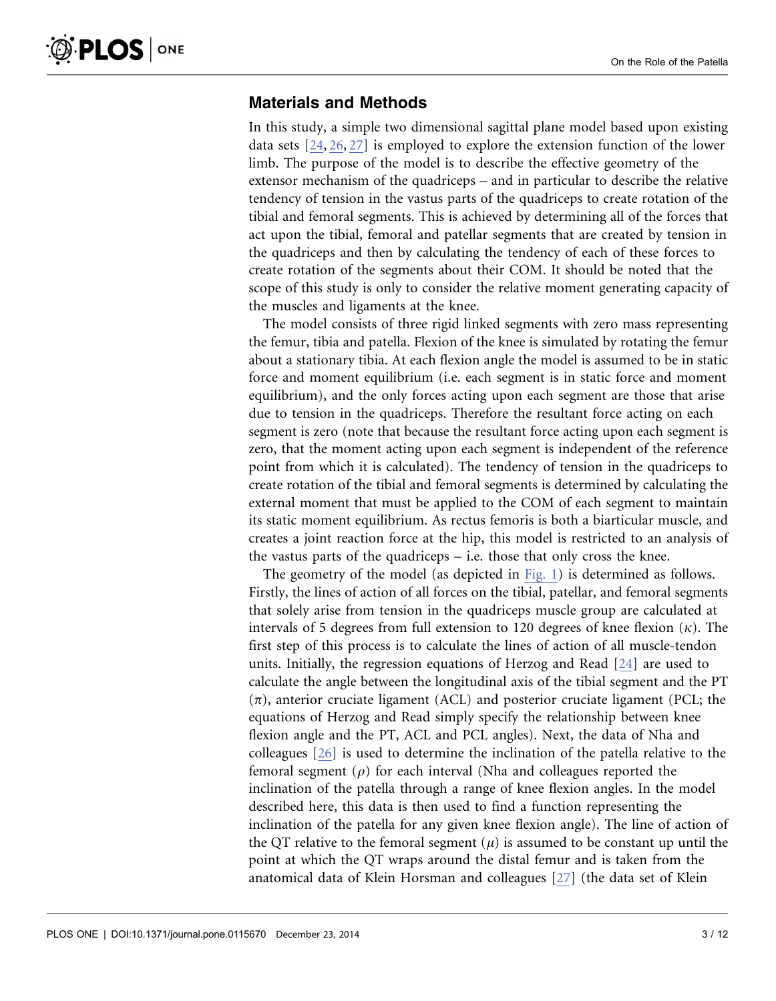## Materials and Methods

In this study, a simple two dimensional sagittal plane model based upon existing data sets [\[24,](#page-12-0) [26,](#page-12-0) [27\]](#page-12-0) is employed to explore the extension function of the lower limb. The purpose of the model is to describe the effective geometry of the extensor mechanism of the quadriceps – and in particular to describe the relative tendency of tension in the vastus parts of the quadriceps to create rotation of the tibial and femoral segments. This is achieved by determining all of the forces that act upon the tibial, femoral and patellar segments that are created by tension in the quadriceps and then by calculating the tendency of each of these forces to create rotation of the segments about their COM. It should be noted that the scope of this study is only to consider the relative moment generating capacity of the muscles and ligaments at the knee.

The model consists of three rigid linked segments with zero mass representing the femur, tibia and patella. Flexion of the knee is simulated by rotating the femur about a stationary tibia. At each flexion angle the model is assumed to be in static force and moment equilibrium (i.e. each segment is in static force and moment equilibrium), and the only forces acting upon each segment are those that arise due to tension in the quadriceps. Therefore the resultant force acting on each segment is zero (note that because the resultant force acting upon each segment is zero, that the moment acting upon each segment is independent of the reference point from which it is calculated). The tendency of tension in the quadriceps to create rotation of the tibial and femoral segments is determined by calculating the external moment that must be applied to the COM of each segment to maintain its static moment equilibrium. As rectus femoris is both a biarticular muscle, and creates a joint reaction force at the hip, this model is restricted to an analysis of the vastus parts of the quadriceps – i.e. those that only cross the knee.

The geometry of the model (as depicted in [Fig. 1](#page-4-0)) is determined as follows. Firstly, the lines of action of all forces on the tibial, patellar, and femoral segments that solely arise from tension in the quadriceps muscle group are calculated at intervals of 5 degrees from full extension to 120 degrees of knee flexion  $(\kappa)$ . The first step of this process is to calculate the lines of action of all muscle-tendon units. Initially, the regression equations of Herzog and Read [\[24\]](#page-12-0) are used to calculate the angle between the longitudinal axis of the tibial segment and the PT  $(\pi)$ , anterior cruciate ligament (ACL) and posterior cruciate ligament (PCL; the equations of Herzog and Read simply specify the relationship between knee flexion angle and the PT, ACL and PCL angles). Next, the data of Nha and colleagues [\[26\]](#page-12-0) is used to determine the inclination of the patella relative to the femoral segment ( $\rho$ ) for each interval (Nha and colleagues reported the inclination of the patella through a range of knee flexion angles. In the model described here, this data is then used to find a function representing the inclination of the patella for any given knee flexion angle). The line of action of the QT relative to the femoral segment  $(\mu)$  is assumed to be constant up until the point at which the QT wraps around the distal femur and is taken from the anatomical data of Klein Horsman and colleagues [\[27\]](#page-12-0) (the data set of Klein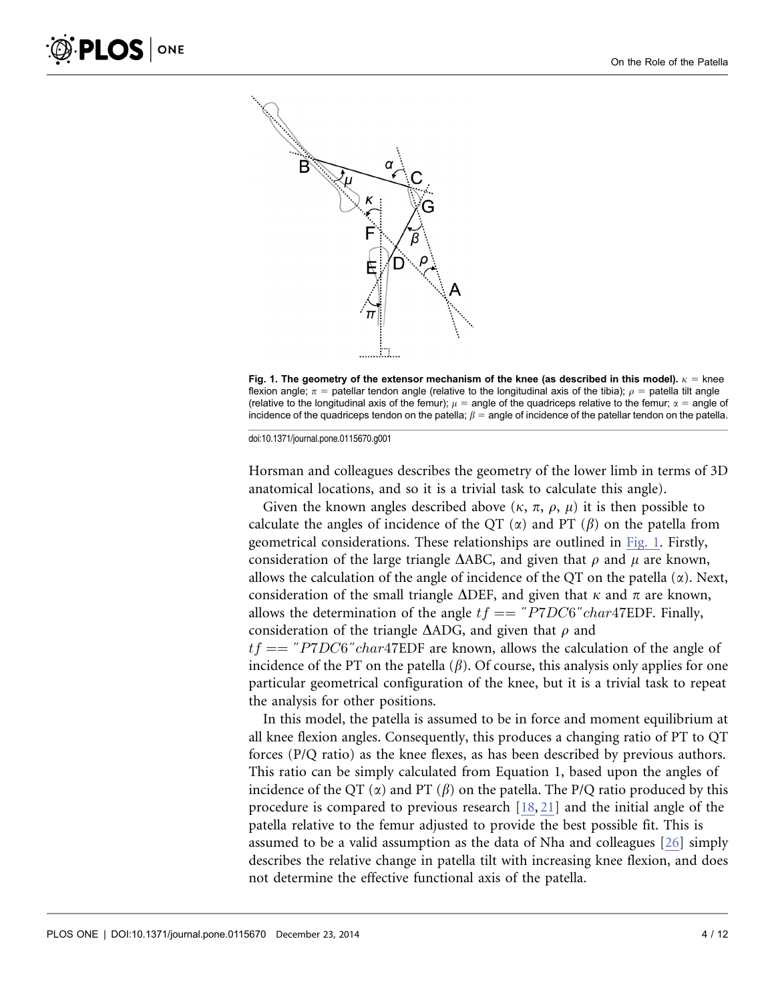<span id="page-4-0"></span>

Fig. 1. The geometry of the extensor mechanism of the knee (as described in this model).  $\kappa =$  knee flexion angle;  $\pi$  = patellar tendon angle (relative to the longitudinal axis of the tibia);  $\rho$  = patella tilt angle (relative to the longitudinal axis of the femur);  $\mu$  = angle of the quadriceps relative to the femur;  $\alpha$  = angle of incidence of the quadriceps tendon on the patella;  $\beta$  = angle of incidence of the patellar tendon on the patella.

Horsman and colleagues describes the geometry of the lower limb in terms of 3D anatomical locations, and so it is a trivial task to calculate this angle).

Given the known angles described above  $(\kappa, \pi, \rho, \mu)$  it is then possible to calculate the angles of incidence of the QT  $(\alpha)$  and PT  $(\beta)$  on the patella from geometrical considerations. These relationships are outlined in Fig. 1. Firstly, consideration of the large triangle  $\triangle ABC$ , and given that  $\rho$  and  $\mu$  are known, allows the calculation of the angle of incidence of the QT on the patella  $(\alpha)$ . Next, consideration of the small triangle  $\triangle DEF$ , and given that  $\kappa$  and  $\pi$  are known, allows the determination of the angle  $tf == "PTDC6" char47EDF$ . Finally, consideration of the triangle  $\triangle ADC$ , and given that  $\rho$  and  $tf == "PTDC6" char47EDF$  are known, allows the calculation of the angle of incidence of the PT on the patella  $(\beta)$ . Of course, this analysis only applies for one particular geometrical configuration of the knee, but it is a trivial task to repeat the analysis for other positions.

In this model, the patella is assumed to be in force and moment equilibrium at all knee flexion angles. Consequently, this produces a changing ratio of PT to QT forces (P/Q ratio) as the knee flexes, as has been described by previous authors. This ratio can be simply calculated from Equation 1, based upon the angles of incidence of the QT  $(\alpha)$  and PT  $(\beta)$  on the patella. The P/Q ratio produced by this procedure is compared to previous research [\[18,](#page-11-0) [21](#page-12-0)[\]](#page-11-0) and the initial angle of the patella relative to the femur adjusted to provide the best possible fit. This is assumed to be a valid assumption as the data of Nha and colleagues [\[26\]](#page-12-0) simply describes the relative change in patella tilt with increasing knee flexion, and does not determine the effective functional axis of the patella.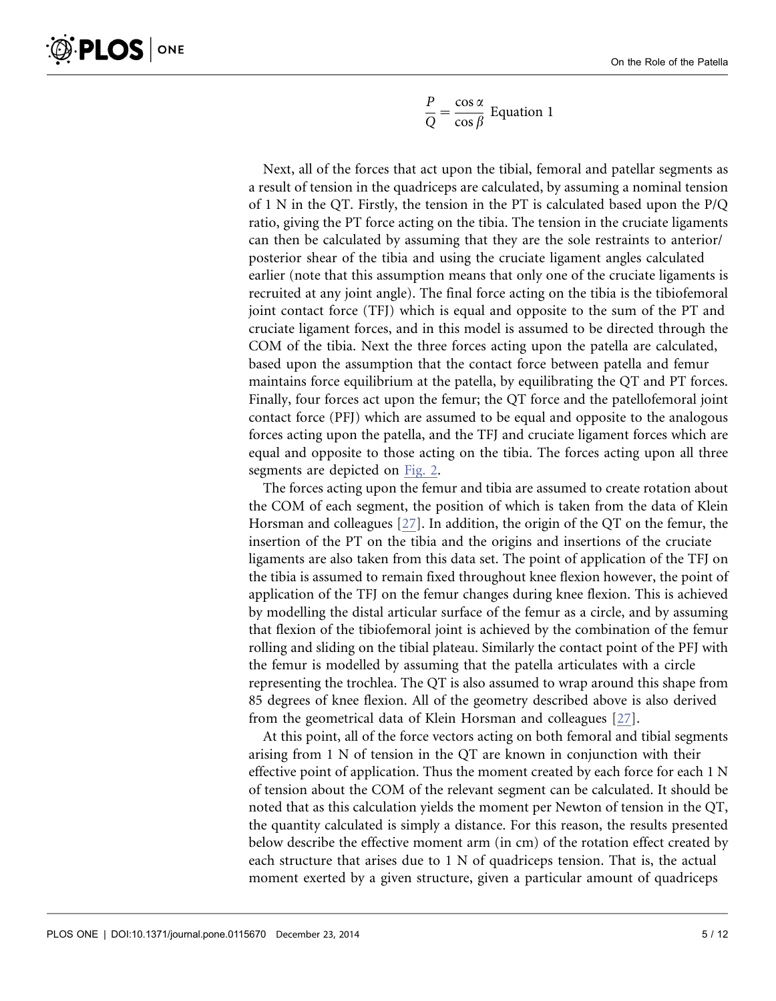$$
\frac{P}{Q} = \frac{\cos \alpha}{\cos \beta}
$$
 Equation 1

Next, all of the forces that act upon the tibial, femoral and patellar segments as a result of tension in the quadriceps are calculated, by assuming a nominal tension of 1 N in the QT. Firstly, the tension in the PT is calculated based upon the P/Q ratio, giving the PT force acting on the tibia. The tension in the cruciate ligaments can then be calculated by assuming that they are the sole restraints to anterior/ posterior shear of the tibia and using the cruciate ligament angles calculated earlier (note that this assumption means that only one of the cruciate ligaments is recruited at any joint angle). The final force acting on the tibia is the tibiofemoral joint contact force (TFJ) which is equal and opposite to the sum of the PT and cruciate ligament forces, and in this model is assumed to be directed through the COM of the tibia. Next the three forces acting upon the patella are calculated, based upon the assumption that the contact force between patella and femur maintains force equilibrium at the patella, by equilibrating the QT and PT forces. Finally, four forces act upon the femur; the QT force and the patellofemoral joint contact force (PFJ) which are assumed to be equal and opposite to the analogous forces acting upon the patella, and the TFJ and cruciate ligament forces which are equal and opposite to those acting on the tibia. The forces acting upon all three segments are depicted on [Fig. 2](#page-6-0).

The forces acting upon the femur and tibia are assumed to create rotation about the COM of each segment, the position of which is taken from the data of Klein Horsman and colleagues [\[27\].](#page-12-0) In addition, the origin of the QT on the femur, the insertion of the PT on the tibia and the origins and insertions of the cruciate ligaments are also taken from this data set. The point of application of the TFJ on the tibia is assumed to remain fixed throughout knee flexion however, the point of application of the TFJ on the femur changes during knee flexion. This is achieved by modelling the distal articular surface of the femur as a circle, and by assuming that flexion of the tibiofemoral joint is achieved by the combination of the femur rolling and sliding on the tibial plateau. Similarly the contact point of the PFJ with the femur is modelled by assuming that the patella articulates with a circle representing the trochlea. The QT is also assumed to wrap around this shape from 85 degrees of knee flexion. All of the geometry described above is also derived from the geometrical data of Klein Horsman and colleagues [\[27\]](#page-12-0).

At this point, all of the force vectors acting on both femoral and tibial segments arising from 1 N of tension in the QT are known in conjunction with their effective point of application. Thus the moment created by each force for each 1 N of tension about the COM of the relevant segment can be calculated. It should be noted that as this calculation yields the moment per Newton of tension in the QT, the quantity calculated is simply a distance. For this reason, the results presented below describe the effective moment arm (in cm) of the rotation effect created by each structure that arises due to 1 N of quadriceps tension. That is, the actual moment exerted by a given structure, given a particular amount of quadriceps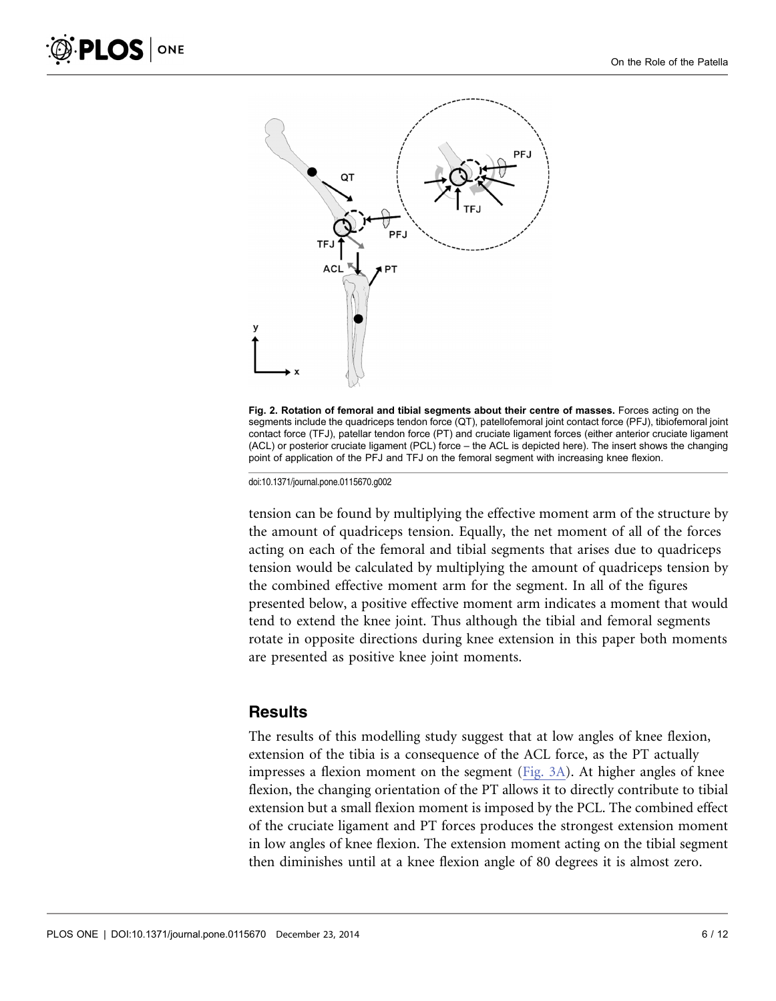<span id="page-6-0"></span>



tension can be found by multiplying the effective moment arm of the structure by the amount of quadriceps tension. Equally, the net moment of all of the forces acting on each of the femoral and tibial segments that arises due to quadriceps tension would be calculated by multiplying the amount of quadriceps tension by the combined effective moment arm for the segment. In all of the figures presented below, a positive effective moment arm indicates a moment that would tend to extend the knee joint. Thus although the tibial and femoral segments rotate in opposite directions during knee extension in this paper both moments are presented as positive knee joint moments.

#### **Results**

The results of this modelling study suggest that at low angles of knee flexion, extension of the tibia is a consequence of the ACL force, as the PT actually impresses a flexion moment on the segment ([Fig. 3A](#page-7-0)). At higher angles of knee flexion, the changing orientation of the PT allows it to directly contribute to tibial extension but a small flexion moment is imposed by the PCL. The combined effect of the cruciate ligament and PT forces produces the strongest extension moment in low angles of knee flexion. The extension moment acting on the tibial segment then diminishes until at a knee flexion angle of 80 degrees it is almost zero.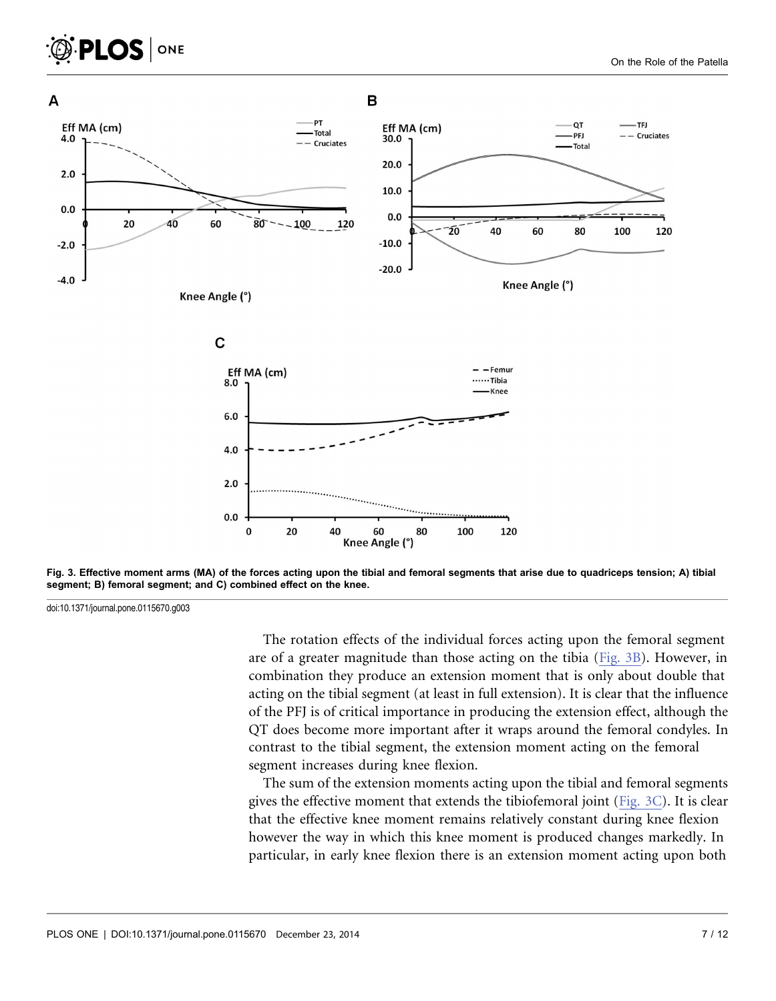<span id="page-7-0"></span>

Fig. 3. Effective moment arms (MA) of the forces acting upon the tibial and femoral segments that arise due to quadriceps tension; A) tibial segment; B) femoral segment; and C) combined effect on the knee.

**PLOS** ONE

The rotation effects of the individual forces acting upon the femoral segment are of a greater magnitude than those acting on the tibia (Fig. 3B). However, in combination they produce an extension moment that is only about double that acting on the tibial segment (at least in full extension). It is clear that the influence of the PFJ is of critical importance in producing the extension effect, although the QT does become more important after it wraps around the femoral condyles. In contrast to the tibial segment, the extension moment acting on the femoral segment increases during knee flexion.

The sum of the extension moments acting upon the tibial and femoral segments gives the effective moment that extends the tibiofemoral joint (Fig. 3C). It is clear that the effective knee moment remains relatively constant during knee flexion however the way in which this knee moment is produced changes markedly. In particular, in early knee flexion there is an extension moment acting upon both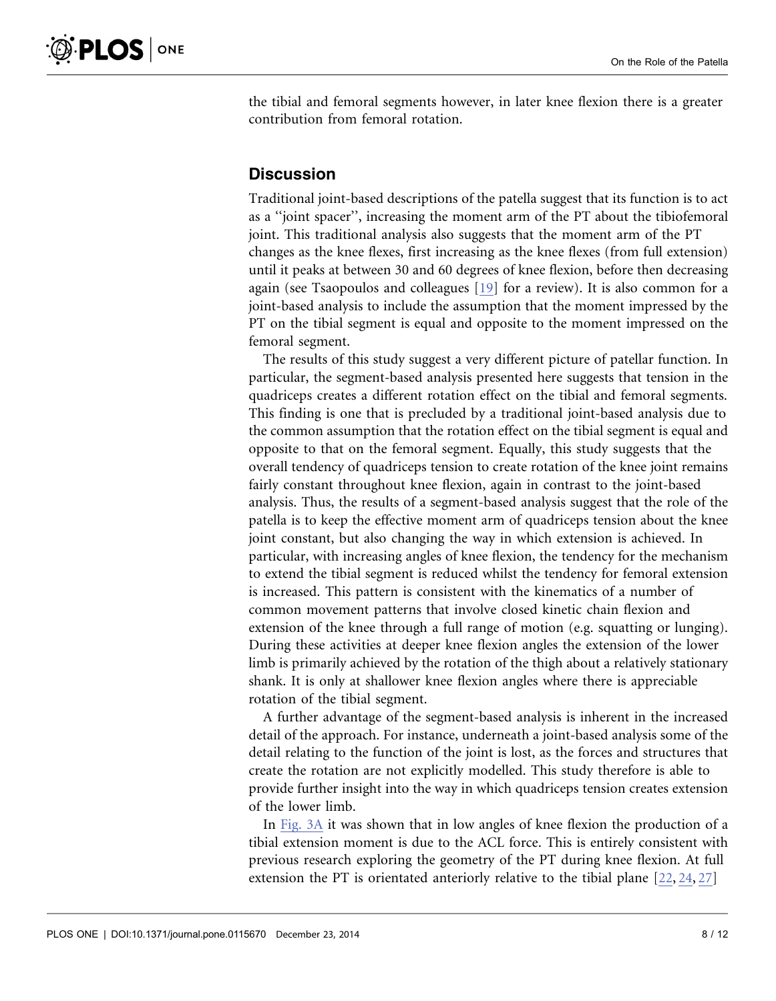the tibial and femoral segments however, in later knee flexion there is a greater contribution from femoral rotation.

## **Discussion**

Traditional joint-based descriptions of the patella suggest that its function is to act as a ''joint spacer'', increasing the moment arm of the PT about the tibiofemoral joint. This traditional analysis also suggests that the moment arm of the PT changes as the knee flexes, first increasing as the knee flexes (from full extension) until it peaks at between 30 and 60 degrees of knee flexion, before then decreasing again (see Tsaopoulos and colleagues [\[19\]](#page-11-0) for a review). It is also common for a joint-based analysis to include the assumption that the moment impressed by the PT on the tibial segment is equal and opposite to the moment impressed on the femoral segment.

The results of this study suggest a very different picture of patellar function. In particular, the segment-based analysis presented here suggests that tension in the quadriceps creates a different rotation effect on the tibial and femoral segments. This finding is one that is precluded by a traditional joint-based analysis due to the common assumption that the rotation effect on the tibial segment is equal and opposite to that on the femoral segment. Equally, this study suggests that the overall tendency of quadriceps tension to create rotation of the knee joint remains fairly constant throughout knee flexion, again in contrast to the joint-based analysis. Thus, the results of a segment-based analysis suggest that the role of the patella is to keep the effective moment arm of quadriceps tension about the knee joint constant, but also changing the way in which extension is achieved. In particular, with increasing angles of knee flexion, the tendency for the mechanism to extend the tibial segment is reduced whilst the tendency for femoral extension is increased. This pattern is consistent with the kinematics of a number of common movement patterns that involve closed kinetic chain flexion and extension of the knee through a full range of motion (e.g. squatting or lunging). During these activities at deeper knee flexion angles the extension of the lower limb is primarily achieved by the rotation of the thigh about a relatively stationary shank. It is only at shallower knee flexion angles where there is appreciable rotation of the tibial segment.

A further advantage of the segment-based analysis is inherent in the increased detail of the approach. For instance, underneath a joint-based analysis some of the detail relating to the function of the joint is lost, as the forces and structures that create the rotation are not explicitly modelled. This study therefore is able to provide further insight into the way in which quadriceps tension creates extension of the lower limb.

In [Fig. 3A](#page-7-0) it was shown that in low angles of knee flexion the production of a tibial extension moment is due to the ACL force. This is entirely consistent with previous research exploring the geometry of the PT during knee flexion. At full extension the PT is orientated anteriorly relative to the tibial plane [\[22,](#page-12-0) [24,](#page-12-0) [27\]](#page-12-0)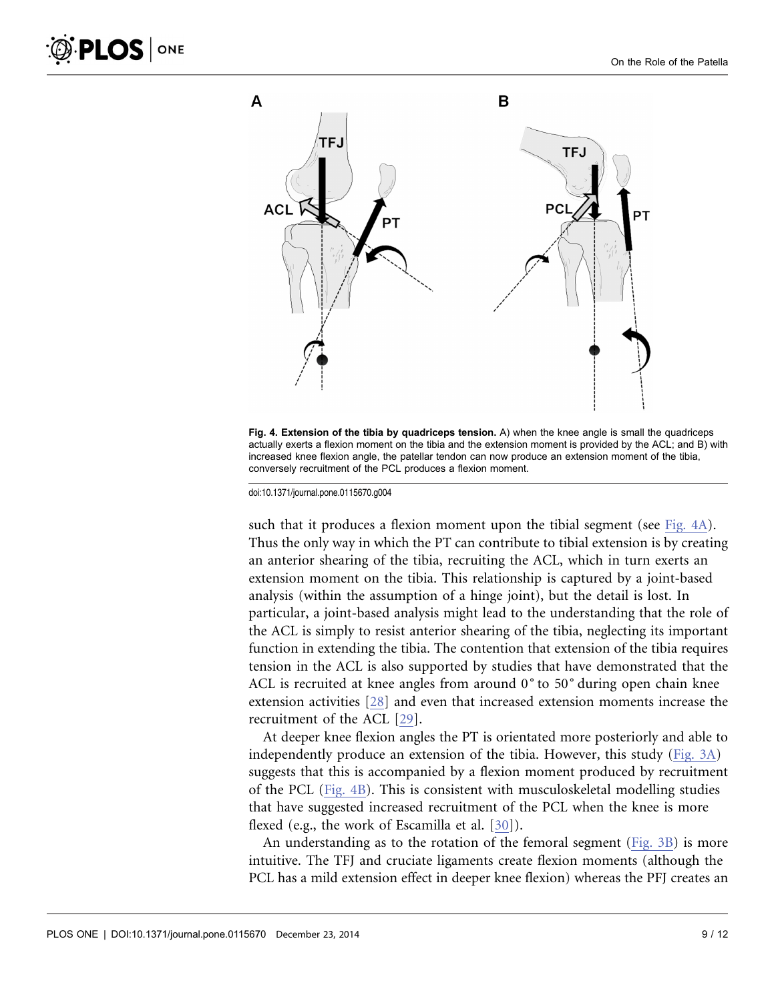

Fig. 4. Extension of the tibia by quadriceps tension. A) when the knee angle is small the quadriceps actually exerts a flexion moment on the tibia and the extension moment is provided by the ACL; and B) with increased knee flexion angle, the patellar tendon can now produce an extension moment of the tibia, conversely recruitment of the PCL produces a flexion moment.

such that it produces a flexion moment upon the tibial segment (see Fig. 4A). Thus the only way in which the PT can contribute to tibial extension is by creating an anterior shearing of the tibia, recruiting the ACL, which in turn exerts an extension moment on the tibia. This relationship is captured by a joint-based analysis (within the assumption of a hinge joint), but the detail is lost. In particular, a joint-based analysis might lead to the understanding that the role of the ACL is simply to resist anterior shearing of the tibia, neglecting its important function in extending the tibia. The contention that extension of the tibia requires tension in the ACL is also supported by studies that have demonstrated that the ACL is recruited at knee angles from around 0<sup>°</sup> to 50<sup>°</sup> during open chain knee extension activities [\[28\]](#page-12-0) and even that increased extension moments increase the recruitment of the ACL [\[29\].](#page-12-0)

At deeper knee flexion angles the PT is orientated more posteriorly and able to independently produce an extension of the tibia. However, this study [\(Fig. 3A](#page-7-0)) suggests that this is accompanied by a flexion moment produced by recruitment of the PCL (Fig. 4B). This is consistent with musculoskeletal modelling studies that have suggested increased recruitment of the PCL when the knee is more flexed (e.g., the work of Escamilla et al. [\[30\]\)](#page-12-0).

An understanding as to the rotation of the femoral segment ([Fig. 3B](#page-7-0)) is more intuitive. The TFJ and cruciate ligaments create flexion moments (although the PCL has a mild extension effect in deeper knee flexion) whereas the PFJ creates an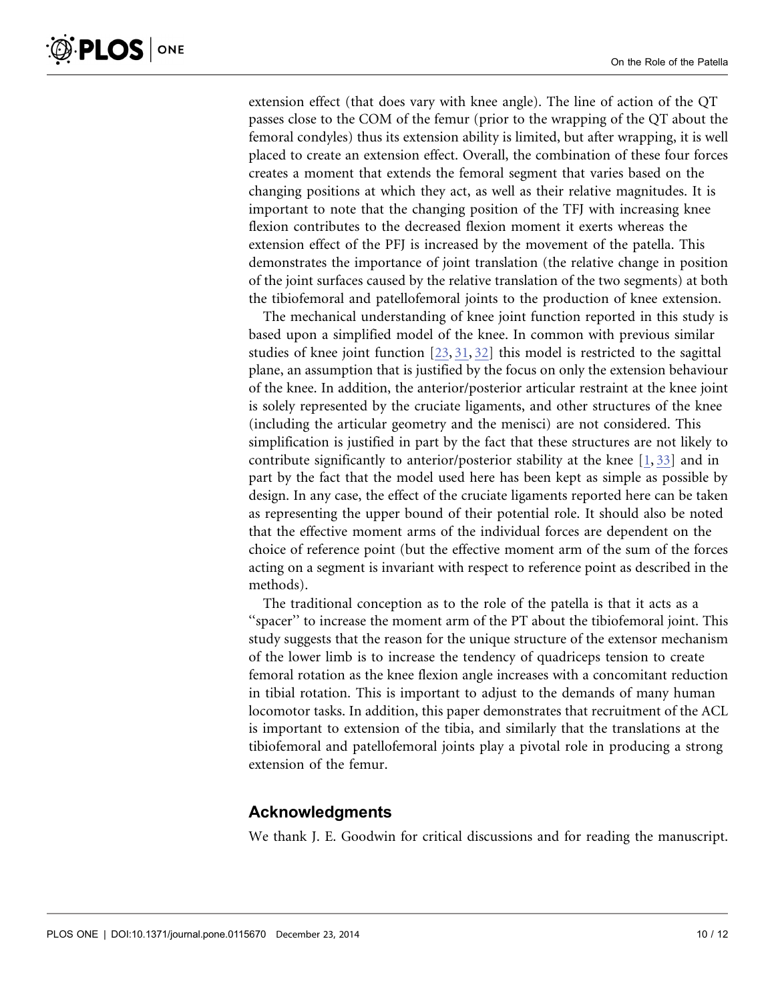extension effect (that does vary with knee angle). The line of action of the QT passes close to the COM of the femur (prior to the wrapping of the QT about the femoral condyles) thus its extension ability is limited, but after wrapping, it is well placed to create an extension effect. Overall, the combination of these four forces creates a moment that extends the femoral segment that varies based on the changing positions at which they act, as well as their relative magnitudes. It is important to note that the changing position of the TFJ with increasing knee flexion contributes to the decreased flexion moment it exerts whereas the extension effect of the PFJ is increased by the movement of the patella. This demonstrates the importance of joint translation (the relative change in position of the joint surfaces caused by the relative translation of the two segments) at both the tibiofemoral and patellofemoral joints to the production of knee extension.

The mechanical understanding of knee joint function reported in this study is based upon a simplified model of the knee. In common with previous similar studies of knee joint function [\[23,](#page-12-0) [31,](#page-12-0) [32\]](#page-12-0) this model is restricted to the sagittal plane, an assumption that is justified by the focus on only the extension behaviour of the knee. In addition, the anterior/posterior articular restraint at the knee joint is solely represented by the cruciate ligaments, and other structures of the knee (including the articular geometry and the menisci) are not considered. This simplification is justified in part by the fact that these structures are not likely to contribute significantly to anterior/posterior stability at the knee [\[1,](#page-11-0) [33](#page-12-0)[\]](#page-11-0) and in part by the fact that the model used here has been kept as simple as possible by design. In any case, the effect of the cruciate ligaments reported here can be taken as representing the upper bound of their potential role. It should also be noted that the effective moment arms of the individual forces are dependent on the choice of reference point (but the effective moment arm of the sum of the forces acting on a segment is invariant with respect to reference point as described in the methods).

The traditional conception as to the role of the patella is that it acts as a "spacer" to increase the moment arm of the PT about the tibiofemoral joint. This study suggests that the reason for the unique structure of the extensor mechanism of the lower limb is to increase the tendency of quadriceps tension to create femoral rotation as the knee flexion angle increases with a concomitant reduction in tibial rotation. This is important to adjust to the demands of many human locomotor tasks. In addition, this paper demonstrates that recruitment of the ACL is important to extension of the tibia, and similarly that the translations at the tibiofemoral and patellofemoral joints play a pivotal role in producing a strong extension of the femur.

## Acknowledgments

We thank J. E. Goodwin for critical discussions and for reading the manuscript.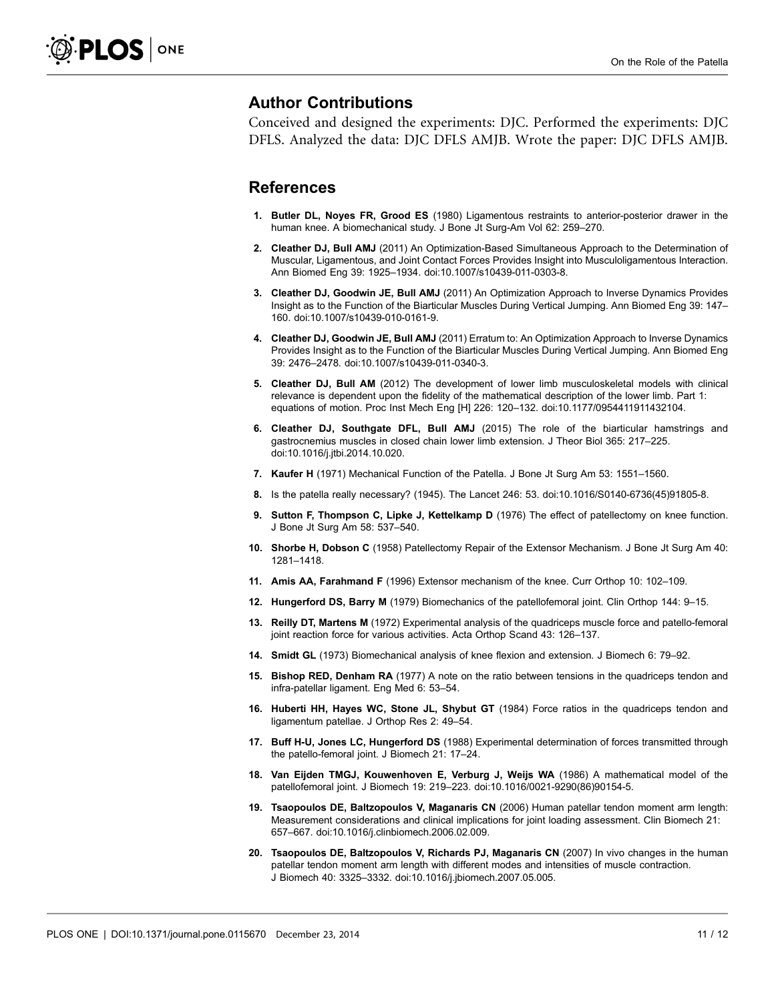#### <span id="page-11-0"></span>Author Contributions

Conceived and designed the experiments: DJC. Performed the experiments: DJC DFLS. Analyzed the data: DJC DFLS AMJB. Wrote the paper: DJC DFLS AMJB.

#### References

- 1. Butler DL, Noyes FR, Grood ES (1980) Ligamentous restraints to anterior-posterior drawer in the human knee. A biomechanical study. J Bone Jt Surg-Am Vol 62: 259–270.
- 2. Cleather DJ, Bull AMJ (2011) An Optimization-Based Simultaneous Approach to the Determination of Muscular, Ligamentous, and Joint Contact Forces Provides Insight into Musculoligamentous Interaction. Ann Biomed Eng 39: 1925–1934. doi:10.1007/s10439-011-0303-8.
- 3. Cleather DJ, Goodwin JE, Bull AMJ (2011) An Optimization Approach to Inverse Dynamics Provides Insight as to the Function of the Biarticular Muscles During Vertical Jumping. Ann Biomed Eng 39: 147– 160. doi:10.1007/s10439-010-0161-9.
- 4. Cleather DJ, Goodwin JE, Bull AMJ (2011) Erratum to: An Optimization Approach to Inverse Dynamics Provides Insight as to the Function of the Biarticular Muscles During Vertical Jumping. Ann Biomed Eng 39: 2476–2478. doi:10.1007/s10439-011-0340-3.
- 5. Cleather DJ, Bull AM (2012) The development of lower limb musculoskeletal models with clinical relevance is dependent upon the fidelity of the mathematical description of the lower limb. Part 1: equations of motion. Proc Inst Mech Eng [H] 226: 120–132. doi:10.1177/0954411911432104.
- 6. Cleather DJ, Southgate DFL, Bull AMJ (2015) The role of the biarticular hamstrings and gastrocnemius muscles in closed chain lower limb extension. J Theor Biol 365: 217–225. doi:10.1016/j.jtbi.2014.10.020.
- 7. Kaufer H (1971) Mechanical Function of the Patella. J Bone Jt Surg Am 53: 1551–1560.
- 8. Is the patella really necessary? (1945). The Lancet 246: 53. doi:10.1016/S0140-6736(45)91805-8.
- 9. Sutton F, Thompson C, Lipke J, Kettelkamp D (1976) The effect of patellectomy on knee function. J Bone Jt Surg Am 58: 537–540.
- 10. Shorbe H, Dobson C (1958) Patellectomy Repair of the Extensor Mechanism. J Bone Jt Surg Am 40: 1281–1418.
- 11. Amis AA, Farahmand F (1996) Extensor mechanism of the knee. Curr Orthop 10: 102–109.
- 12. Hungerford DS, Barry M (1979) Biomechanics of the patellofemoral joint. Clin Orthop 144: 9–15.
- 13. Reilly DT, Martens M (1972) Experimental analysis of the quadriceps muscle force and patello-femoral joint reaction force for various activities. Acta Orthop Scand 43: 126-137.
- 14. Smidt GL (1973) Biomechanical analysis of knee flexion and extension. J Biomech 6: 79–92.
- 15. Bishop RED, Denham RA (1977) A note on the ratio between tensions in the quadriceps tendon and infra-patellar ligament. Eng Med 6: 53–54.
- 16. Huberti HH, Hayes WC, Stone JL, Shybut GT (1984) Force ratios in the quadriceps tendon and ligamentum patellae. J Orthop Res 2: 49–54.
- 17. Buff H-U, Jones LC, Hungerford DS (1988) Experimental determination of forces transmitted through the patello-femoral joint. J Biomech 21: 17–24.
- 18. Van Eijden TMGJ, Kouwenhoven E, Verburg J, Weijs WA (1986) A mathematical model of the patellofemoral joint. J Biomech 19: 219–223. doi:10.1016/0021-9290(86)90154-5.
- 19. Tsaopoulos DE, Baltzopoulos V, Maganaris CN (2006) Human patellar tendon moment arm length: Measurement considerations and clinical implications for joint loading assessment. Clin Biomech 21: 657–667. doi:10.1016/j.clinbiomech.2006.02.009.
- 20. Tsaopoulos DE, Baltzopoulos V, Richards PJ, Maganaris CN (2007) In vivo changes in the human patellar tendon moment arm length with different modes and intensities of muscle contraction. J Biomech 40: 3325–3332. doi:10.1016/j.jbiomech.2007.05.005.